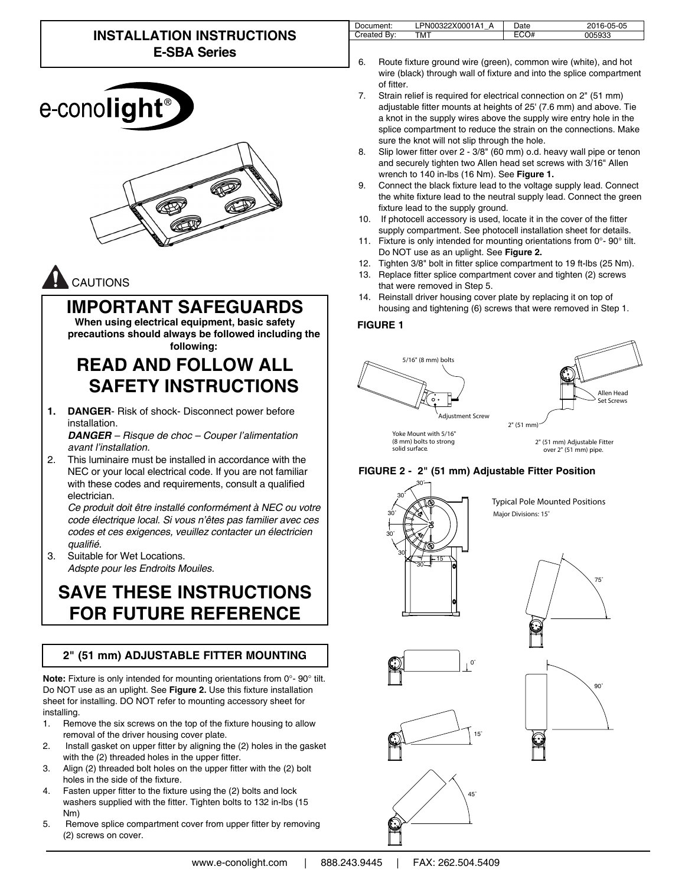# **INSTALLATION INSTRUCTIONS E-SBA Series**





# **IMPORTANT SAFEGUARDS**

**When using electrical equipment, basic safety precautions should always be followed including the following:**

# **READ AND FOLLOW ALL SAFETY INSTRUCTIONS**

**1. DANGER**- Risk of shock- Disconnect power before installation.

*DANGER – Risque de choc – Couper l'alimentation avant l'installation.*

2. This luminaire must be installed in accordance with the NEC or your local electrical code. If you are not familiar with these codes and requirements, consult a qualified electrician.

*Ce produit doit être installé conformément à NEC ou votre code électrique local. Si vous n'êtes pas familier avec ces codes et ces exigences, veuillez contacter un électricien*  qualifié.

3. Suitable for Wet Locations. *Adspte pour les Endroits Mouiles.*

# **SAVE THESE INSTRUCTIONS FOR FUTURE REFERENCE**

### **2" (51 mm) ADJUSTABLE FITTER MOUNTING**

**Note:** Fixture is only intended for mounting orientations from 0°- 90° tilt. Do NOT use as an uplight. See **Figure 2.** Use this fixture installation sheet for installing. DO NOT refer to mounting accessory sheet for installing.

- 1. Remove the six screws on the top of the fixture housing to allow removal of the driver housing cover plate.
- 2. Install gasket on upper fitter by aligning the (2) holes in the gasket with the (2) threaded holes in the upper fitter.
- 3. Align (2) threaded bolt holes on the upper fitter with the (2) bolt holes in the side of the fixture.
- 4. Fasten upper fitter to the fixture using the (2) bolts and lock washers supplied with the fitter. Tighten bolts to 132 in-lbs (15 Nm)
- 5. Remove splice compartment cover from upper fitter by removing (2) screws on cover.

| 'Jocument: | A<br>Δ<br><b>XINN</b><br>'NIL | Jate | )5-05<br><u>n-1</u> |
|------------|-------------------------------|------|---------------------|
| $P_{11}$   | MT                            |      | ດລ                  |

- 6. Route fixture ground wire (green), common wire (white), and hot wire (black) through wall of fixture and into the splice compartment of fitter.
- 7. Strain relief is required for electrical connection on 2" (51 mm) adjustable fitter mounts at heights of 25' (7.6 mm) and above. Tie a knot in the supply wires above the supply wire entry hole in the splice compartment to reduce the strain on the connections. Make sure the knot will not slip through the hole.
- 8. Slip lower fitter over 2 3/8" (60 mm) o.d. heavy wall pipe or tenon and securely tighten two Allen head set screws with 3/16" Allen wrench to 140 in-lbs (16 Nm). See **Figure 1.**
- 9. Connect the black fixture lead to the voltage supply lead. Connect the white fixture lead to the neutral supply lead. Connect the green fixture lead to the supply ground.
- 10. If photocell accessory is used, locate it in the cover of the fitter supply compartment. See photocell installation sheet for details.
- 11. Fixture is only intended for mounting orientations from 0°- 90° tilt. Do NOT use as an uplight. See **Figure 2.**
- 12. Tighten 3/8" bolt in fitter splice compartment to 19 ft-lbs (25 Nm).
- 13. Replace fitter splice compartment cover and tighten (2) screws that were removed in Step 5.
- 14. Reinstall driver housing cover plate by replacing it on top of housing and tightening (6) screws that were removed in Step 1.

#### **FIGURE 1**



#### **FIGURE 2 - 2" (51 mm) Adjustable Fitter Position**



**Typical Pole Mounted Positions** Major Divisions: 15˚

75˚











15˚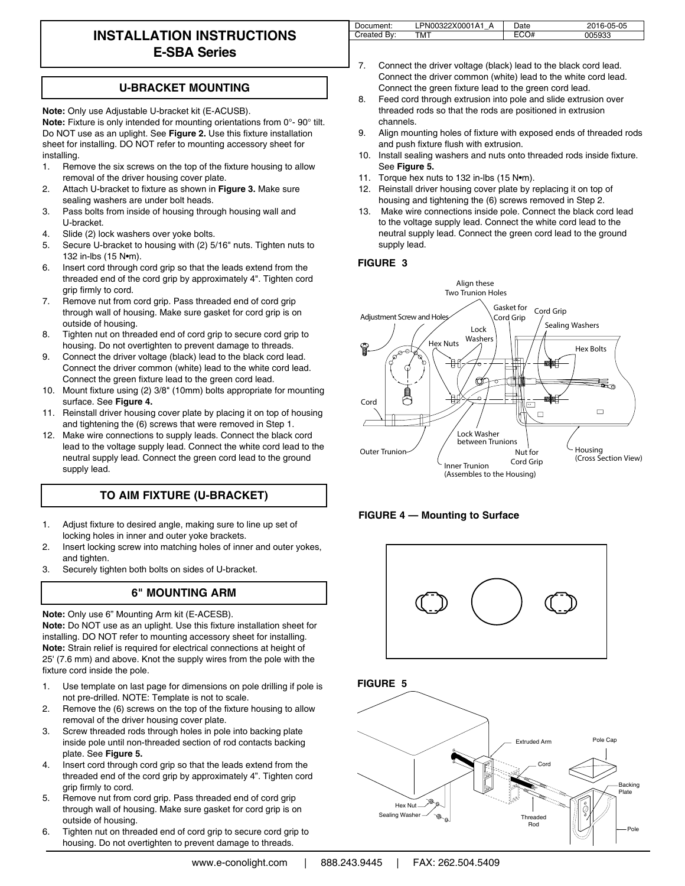## **INSTALLATION INSTRUCTIONS E-SBA Series**

#### **U-BRACKET MOUNTING**

**Note:** Only use Adjustable U-bracket kit (E-ACUSB). **Note:** Fixture is only intended for mounting orientations from 0°- 90° tilt. Do NOT use as an uplight. See **Figure 2.** Use this fixture installation sheet for installing. DO NOT refer to mounting accessory sheet for installing.

- 1. Remove the six screws on the top of the fixture housing to allow removal of the driver housing cover plate.
- 2. Attach U-bracket to fixture as shown in **Figure 3.** Make sure sealing washers are under bolt heads.
- 3. Pass bolts from inside of housing through housing wall and U-bracket.
- 4. Slide (2) lock washers over yoke bolts.
- 5. Secure U-bracket to housing with (2) 5/16" nuts. Tighten nuts to 132 in-lbs (15 N•m).
- 6. Insert cord through cord grip so that the leads extend from the threaded end of the cord grip by approximately 4". Tighten cord grip firmly to cord.
- 7. Remove nut from cord grip. Pass threaded end of cord grip through wall of housing. Make sure gasket for cord grip is on outside of housing.
- 8. Tighten nut on threaded end of cord grip to secure cord grip to housing. Do not overtighten to prevent damage to threads.
- 9. Connect the driver voltage (black) lead to the black cord lead. Connect the driver common (white) lead to the white cord lead. Connect the green fixture lead to the green cord lead.
- 10. Mount fixture using (2) 3/8" (10mm) bolts appropriate for mounting surface. See **Figure 4.**
- 11. Reinstall driver housing cover plate by placing it on top of housing and tightening the (6) screws that were removed in Step 1.
- 12. Make wire connections to supply leads. Connect the black cord lead to the voltage supply lead. Connect the white cord lead to the neutral supply lead. Connect the green cord lead to the ground supply lead.

### **TO AIM FIXTURE (U-BRACKET)**

- 1. Adjust fixture to desired angle, making sure to line up set of locking holes in inner and outer yoke brackets.
- 2. Insert locking screw into matching holes of inner and outer yokes, and tighten.
- 3. Securely tighten both bolts on sides of U-bracket.

#### **6" MOUNTING ARM**

**Note:** Only use 6" Mounting Arm kit (E-ACESB). **Note:** Do NOT use as an uplight. Use this fixture installation sheet for installing. DO NOT refer to mounting accessory sheet for installing. **Note:** Strain relief is required for electrical connections at height of 25' (7.6 mm) and above. Knot the supply wires from the pole with the fixture cord inside the pole.

- 1. Use template on last page for dimensions on pole drilling if pole is not pre-drilled. NOTE: Template is not to scale.
- 2. Remove the (6) screws on the top of the fixture housing to allow removal of the driver housing cover plate.
- 3. Screw threaded rods through holes in pole into backing plate inside pole until non-threaded section of rod contacts backing plate. See **Figure 5.**
- 4. Insert cord through cord grip so that the leads extend from the threaded end of the cord grip by approximately 4". Tighten cord grip firmly to cord.
- 5. Remove nut from cord grip. Pass threaded end of cord grip through wall of housing. Make sure gasket for cord grip is on outside of housing.
- 6. Tighten nut on threaded end of cord grip to secure cord grip to housing. Do not overtighten to prevent damage to threads.

| Document:   | LPN00322X0001A1 | つate | 2016-05-05 |
|-------------|-----------------|------|------------|
| Created By: | <b>TMT</b>      |      | 05933      |

- 7. Connect the driver voltage (black) lead to the black cord lead. Connect the driver common (white) lead to the white cord lead. Connect the green fixture lead to the green cord lead.
- 8. Feed cord through extrusion into pole and slide extrusion over threaded rods so that the rods are positioned in extrusion channels.
- 9. Align mounting holes of fixture with exposed ends of threaded rods and push fixture flush with extrusion.
- 10. Install sealing washers and nuts onto threaded rods inside fixture. See **Figure 5.**
- 11. Torque hex nuts to 132 in-lbs (15 Nom).
- 12. Reinstall driver housing cover plate by replacing it on top of housing and tightening the (6) screws removed in Step 2.
- 13. Make wire connections inside pole. Connect the black cord lead to the voltage supply lead. Connect the white cord lead to the neutral supply lead. Connect the green cord lead to the ground supply lead.

#### **FIGURE 3**







**FIGURE 5**

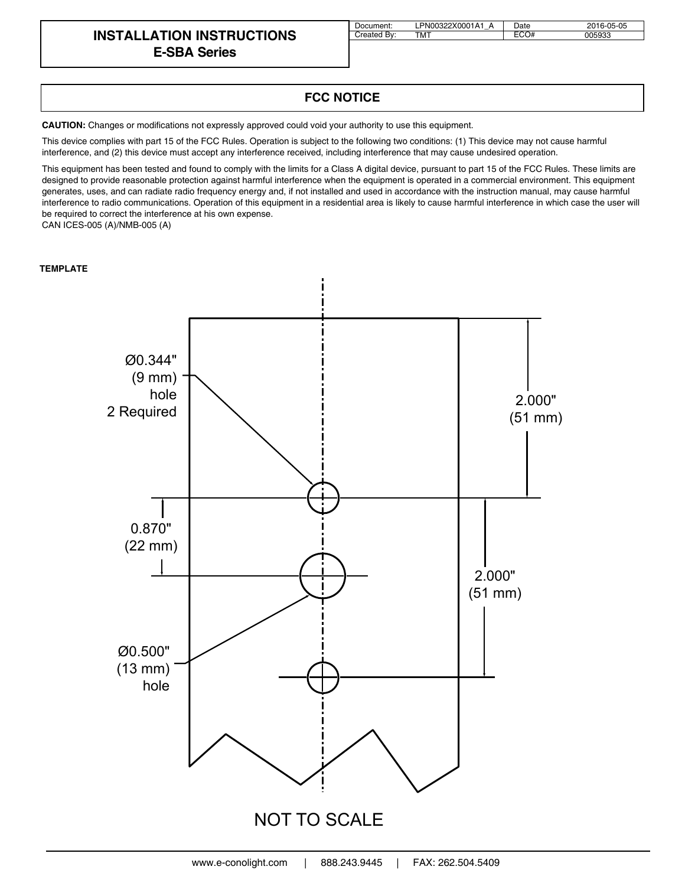### **INSTALLATION INSTRUCTIONS E-SBA Series**

| Document:   | LPN00322X0001A1 A | Date | 2016-05-05 |
|-------------|-------------------|------|------------|
| Created By: | тмт               | ECO# | 005933     |

#### **FCC NOTICE**

**CAUTION:** Changes or modifications not expressly approved could void your authority to use this equipment.

This device complies with part 15 of the FCC Rules. Operation is subject to the following two conditions: (1) This device may not cause harmful interference, and (2) this device must accept any interference received, including interference that may cause undesired operation.

This equipment has been tested and found to comply with the limits for a Class A digital device, pursuant to part 15 of the FCC Rules. These limits are designed to provide reasonable protection against harmful interference when the equipment is operated in a commercial environment. This equipment generates, uses, and can radiate radio frequency energy and, if not installed and used in accordance with the instruction manual, may cause harmful interference to radio communications. Operation of this equipment in a residential area is likely to cause harmful interference in which case the user will be required to correct the interference at his own expense.

CAN ICES-005 (A)/NMB-005 (A)

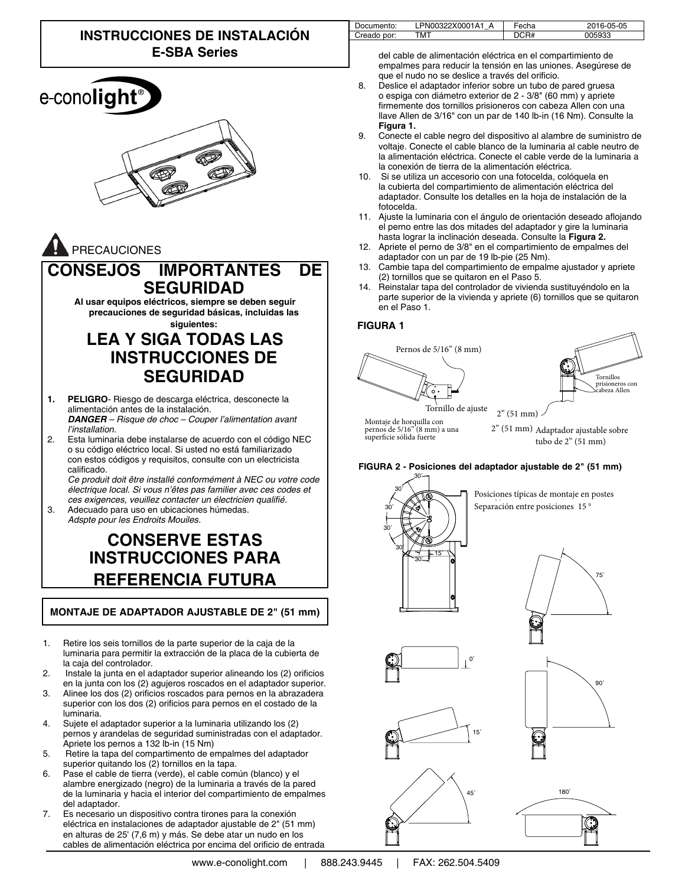





### **CONSEJOS IMPORTANTES DE SEGURIDAD**

**Al usar equipos eléctricos, siempre se deben seguir precauciones de seguridad básicas, incluidas las siguientes:**

# **LEA Y SIGA TODAS LAS INSTRUCCIONES DE SEGURIDAD**

- **1. PELIGRO** Riesgo de descarga eléctrica, desconecte la alimentación antes de la instalación. *DANGER – Risque de choc – Couper l'alimentation avant l'installation.*
- 2. Esta luminaria debe instalarse de acuerdo con el código NEC o su código eléctrico local. Si usted no está familiarizado con estos códigos y requisitos, consulte con un electricista calificado.

*Ce produit doit être installé conformément à NEC ou votre code électrique local. Si vous n'êtes pas familier avec ces codes et*  ces exigences, veuillez contacter un électricien qualifié.

3. Adecuado para uso en ubicaciones húmedas. *Adspte pour les Endroits Mouiles.*

# **CONSERVE ESTAS INSTRUCCIONES PARA REFERENCIA FUTURA**

#### **MONTAJE DE ADAPTADOR AJUSTABLE DE 2" (51 mm)**

- 1. Retire los seis tornillos de la parte superior de la caja de la luminaria para permitir la extracción de la placa de la cubierta de la caja del controlador.
- 2. Instale la junta en el adaptador superior alineando los (2) orificios en la junta con los (2) agujeros roscados en el adaptador superior.
- 3. Alinee los dos (2) orificios roscados para pernos en la abrazadera superior con los dos (2) orificios para pernos en el costado de la luminaria.
- 4. Sujete el adaptador superior a la luminaria utilizando los (2) pernos y arandelas de seguridad suministradas con el adaptador. Apriete los pernos a 132 lb-in (15 Nm)
- 5. Retire la tapa del compartimento de empalmes del adaptador superior quitando los (2) tornillos en la tapa.
- 6. Pase el cable de tierra (verde), el cable común (blanco) y el alambre energizado (negro) de la luminaria a través de la pared de la luminaria y hacia el interior del compartimiento de empalmes del adaptador.
- 7. Es necesario un dispositivo contra tirones para la conexión eléctrica en instalaciones de adaptador ajustable de 2" (51 mm) en alturas de 25' (7,6 m) y más. Se debe atar un nudo en los cables de alimentación eléctrica por encima del orificio de entrada

| Documento:  | LPN00322X0001A1 A | Fecha | 2016-05-05 |
|-------------|-------------------|-------|------------|
| Creado por: | <b>TMT</b>        |       | 005933     |

del cable de alimentación eléctrica en el compartimiento de empalmes para reducir la tensión en las uniones. Asegúrese de que el nudo no se deslice a través del orificio.

- 8. Deslice el adaptador inferior sobre un tubo de pared gruesa o espiga con diámetro exterior de 2 - 3/8" (60 mm) y apriete firmemente dos tornillos prisioneros con cabeza Allen con una llave Allen de 3/16" con un par de 140 lb-in (16 Nm). Consulte la **Figura 1.**
- 9. Conecte el cable negro del dispositivo al alambre de suministro de voltaje. Conecte el cable blanco de la luminaria al cable neutro de la alimentación eléctrica. Conecte el cable verde de la luminaria a la conexión de tierra de la alimentación eléctrica.
- 10. Si se utiliza un accesorio con una fotocelda, colóquela en la cubierta del compartimiento de alimentación eléctrica del adaptador. Consulte los detalles en la hoja de instalación de la fotocelda.
- 11. Ajuste la luminaria con el ángulo de orientación deseado aflojando el perno entre las dos mitades del adaptador y gire la luminaria hasta lograr la inclinación deseada. Consulte la **Figura 2.**
- 12. Apriete el perno de 3/8" en el compartimiento de empalmes del adaptador con un par de 19 lb-pie (25 Nm).
- 13. Cambie tapa del compartimiento de empalme ajustador y apriete (2) tornillos que se quitaron en el Paso 5.
- 14. Reinstalar tapa del controlador de vivienda sustituyéndolo en la parte superior de la vivienda y apriete (6) tornillos que se quitaron en el Paso 1.

#### **FIGURA 1**





75˚

 $y_0$  montaje de norquina con superficie sólida fuerte Montaje de horquilla con

2" (51 mm) Adaptador ajustable sobre tubo de 2" (51 mm)

**FIGURA 2 - Posiciones del adaptador ajustable de 2" (51 mm)**



Posiciones típicas de montaje en postes Separación entre posiciones 15<sup>°</sup>











180˚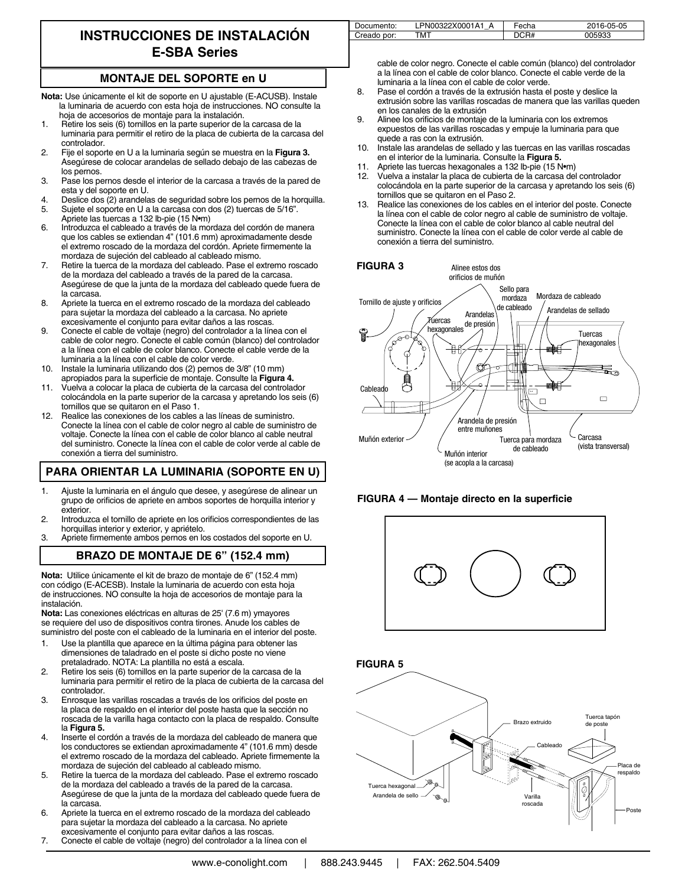# **INSTRUCCIONES DE INSTALACIÓN E-SBA Series**

#### **MONTAJE DEL SOPORTE en U**

- **Nota:** Use únicamente el kit de soporte en U ajustable (E-ACUSB). Instale la luminaria de acuerdo con esta hoja de instrucciones. NO consulte la hoja de accesorios de montaje para la instalación.
- 1. Retire los seis (6) tornillos en la parte superior de la carcasa de la luminaria para permitir el retiro de la placa de cubierta de la carcasa del controlador.
- 2. Fije el soporte en U a la luminaria según se muestra en la **Figura 3.** Asegúrese de colocar arandelas de sellado debajo de las cabezas de los pernos.
- 3. Pase los pernos desde el interior de la carcasa a través de la pared de esta y del soporte en U.
- 4. Deslice dos (2) arandelas de seguridad sobre los pernos de la horquilla.<br>5. Suiete el soporte en U a la carcasa con dos (2) tuercas de 5/16". 5. Sujete el soporte en U a la carcasa con dos (2) tuercas de 5/16".
- Apriete las tuercas a 132 lb-pie (15 N•m)
- 6. Introduzca el cableado a través de la mordaza del cordón de manera que los cables se extiendan 4" (101.6 mm) aproximadamente desde el extremo roscado de la mordaza del cordón. Apriete firmemente la mordaza de sujeción del cableado al cableado mismo.
- 7. Retire la tuerca de la mordaza del cableado. Pase el extremo roscado de la mordaza del cableado a través de la pared de la carcasa. Asegúrese de que la junta de la mordaza del cableado quede fuera de la carcasa.
- 8. Apriete la tuerca en el extremo roscado de la mordaza del cableado para sujetar la mordaza del cableado a la carcasa. No apriete excesivamente el conjunto para evitar daños a las roscas.
- 9. Conecte el cable de voltaje (negro) del controlador a la línea con el cable de color negro. Conecte el cable común (blanco) del controlador a la línea con el cable de color blanco. Conecte el cable verde de la luminaria a la línea con el cable de color verde.
- 10. Instale la luminaria utilizando dos (2) pernos de 3/8" (10 mm) apropiados para la superficie de montaje. Consulte la **Figura 4.**
- 11. Vuelva a colocar la placa de cubierta de la carcasa del controlador colocándola en la parte superior de la carcasa y apretando los seis (6) tornillos que se quitaron en el Paso 1.
- 12. Realice las conexiones de los cables a las líneas de suministro. Conecte la línea con el cable de color negro al cable de suministro de voltaje. Conecte la línea con el cable de color blanco al cable neutral del suministro. Conecte la línea con el cable de color verde al cable de conexión a tierra del suministro.

### **PARA ORIENTAR LA LUMINARIA (SOPORTE EN U)**

- 1. Ajuste la luminaria en el ángulo que desee, y asegúrese de alinear un grupo de orificios de apriete en ambos soportes de horquilla interior y exterior.
- 2. Introduzca el tornillo de apriete en los orificios correspondientes de las horquillas interior y exterior, y apriételo.
- 3. Apriete firmemente ambos pernos en los costados del soporte en U.

### **BRAZO DE MONTAJE DE 6" (152.4 mm)**

**Nota:** Utilice únicamente el kit de brazo de montaje de 6" (152.4 mm) con código (E-ACESB). Instale la luminaria de acuerdo con esta hoja de instrucciones. NO consulte la hoja de accesorios de montaje para la instalación.

**Nota:** Las conexiones eléctricas en alturas de 25' (7.6 m) ymayores se requiere del uso de dispositivos contra tirones. Anude los cables de suministro del poste con el cableado de la luminaria en el interior del poste.

- 1. Use la plantilla que aparece en la última página para obtener las dimensiones de taladrado en el poste si dicho poste no viene pretaladrado. NOTA: La plantilla no está a escala.
- 2. Retire los seis (6) tornillos en la parte superior de la carcasa de la luminaria para permitir el retiro de la placa de cubierta de la carcasa del controlador.
- 3. Enrosque las varillas roscadas a través de los orificios del poste en la placa de respaldo en el interior del poste hasta que la sección no roscada de la varilla haga contacto con la placa de respaldo. Consulte la **Figura 5.**
- 4. Inserte el cordón a través de la mordaza del cableado de manera que los conductores se extiendan aproximadamente 4" (101.6 mm) desde el extremo roscado de la mordaza del cableado. Apriete firmemente la mordaza de sujeción del cableado al cableado mismo.
- 5. Retire la tuerca de la mordaza del cableado. Pase el extremo roscado de la mordaza del cableado a través de la pared de la carcasa. Asegúrese de que la junta de la mordaza del cableado quede fuera de la carcasa.
- 6. Apriete la tuerca en el extremo roscado de la mordaza del cableado para sujetar la mordaza del cableado a la carcasa. No apriete excesivamente el conjunto para evitar daños a las roscas.
- 7. Conecte el cable de voltaje (negro) del controlador a la línea con el

| Documento:  | LPN00322X0001A1 | Fecha | 2016-05-05 |
|-------------|-----------------|-------|------------|
| Creado por: | <b>TMT</b>      | DCR#  | 005933     |

cable de color negro. Conecte el cable común (blanco) del controlador a la línea con el cable de color blanco. Conecte el cable verde de la luminaria a la línea con el cable de color verde.

- 8. Pase el cordón a través de la extrusión hasta el poste y deslice la extrusión sobre las varillas roscadas de manera que las varillas queden en los canales de la extrusión
- 9. Alinee los orificios de montaje de la luminaria con los extremos expuestos de las varillas roscadas y empuje la luminaria para que quede a ras con la extrusión.
- 10. Instale las arandelas de sellado y las tuercas en las varillas roscadas en el interior de la luminaria. Consulte la **Figura 5.**
- 11. Apriete las tuercas hexagonales a 132 lb-pie (15 N•m)
- 12. Vuelva a instalar la placa de cubierta de la carcasa del controlador colocándola en la parte superior de la carcasa y apretando los seis (6) tornillos que se quitaron en el Paso 2.
- 13. Realice las conexiones de los cables en el interior del poste. Conecte la línea con el cable de color negro al cable de suministro de voltaje. Conecte la línea con el cable de color blanco al cable neutral del suministro. Conecte la línea con el cable de color verde al cable de conexión a tierra del suministro.









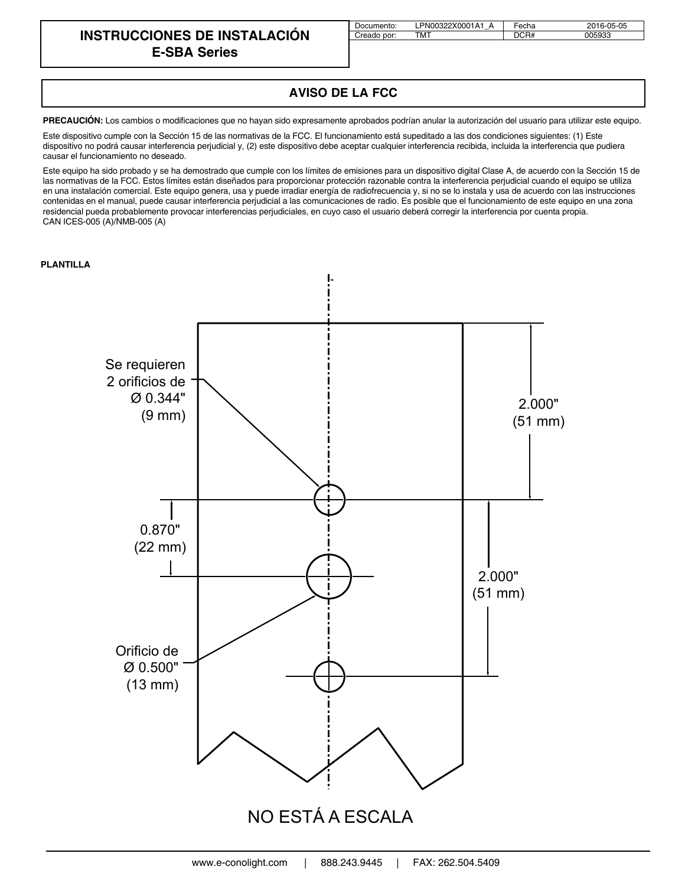### **INSTRUCCIONES DE INSTALACIÓN E-SBA Series**

| Documento:  | LPN00322X0001A1 | Fecha | 2016-05-05 |
|-------------|-----------------|-------|------------|
| Creado por: | тмт             | DCR#  | 005933     |

## **AVISO DE LA FCC**

PRECAUCIÓN: Los cambios o modificaciones que no hayan sido expresamente aprobados podrían anular la autorización del usuario para utilizar este equipo.

Este dispositivo cumple con la Sección 15 de las normativas de la FCC. El funcionamiento está supeditado a las dos condiciones siguientes: (1) Este dispositivo no podrá causar interferencia perjudicial y, (2) este dispositivo debe aceptar cualquier interferencia recibida, incluida la interferencia que pudiera causar el funcionamiento no deseado.

Este equipo ha sido probado y se ha demostrado que cumple con los límites de emisiones para un dispositivo digital Clase A, de acuerdo con la Sección 15 de las normativas de la FCC. Estos límites están diseñados para proporcionar protección razonable contra la interferencia perjudicial cuando el equipo se utiliza en una instalación comercial. Este equipo genera, usa y puede irradiar energía de radiofrecuencia y, si no se lo instala y usa de acuerdo con las instrucciones contenidas en el manual, puede causar interferencia perjudicial a las comunicaciones de radio. Es posible que el funcionamiento de este equipo en una zona residencial pueda probablemente provocar interferencias perjudiciales, en cuyo caso el usuario deberá corregir la interferencia por cuenta propia. CAN ICES-005 (A)/NMB-005 (A)

#### **PLANTILLA**

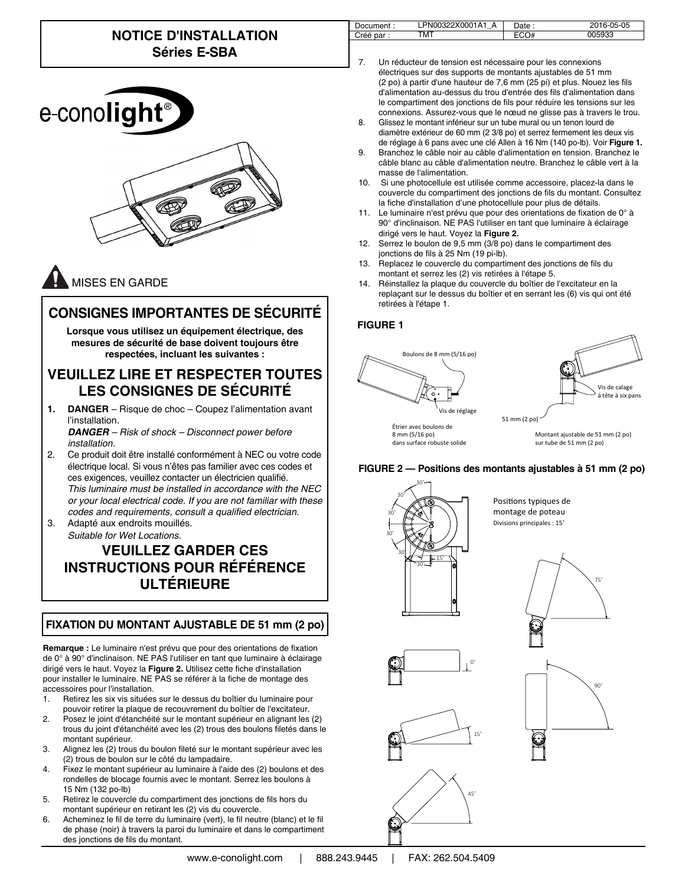# **NOTICE D'INSTALLATION Séries E-SBA**

| e-cono <b>light</b> ® |
|-----------------------|
|                       |

# MISES EN GARDE

# **CONSIGNES IMPORTANTES DE SÉCURITÉ**

**Lorsque vous utilisez un équipement électrique, des mesures de sécurité de base doivent toujours être respectées, incluant les suivantes :**

## **VEUILLEZ LIRE ET RESPECTER TOUTES LES CONSIGNES DE SÉCURITÉ**

**1. DANGER** – Risque de choc – Coupez l'alimentation avant l'installation. *DANGER – Risk of shock – Disconnect power before* 

*installation.*

- 2. Ce produit doit être installé conformément à NEC ou votre code électrique local. Si vous n'êtes pas familier avec ces codes et ces exigences, veuillez contacter un électricien qualifié. *This luminaire must be installed in accordance with the NEC or your local electrical code. If you are not familiar with these*  codes and requirements, consult a qualified electrician.
- 3. Adapté aux endroits mouillés. *Suitable for Wet Locations.*

# **VEUILLEZ GARDER CES INSTRUCTIONS POUR RÉFÉRENCE ULTÉRIEURE**

### **FIXATION DU MONTANT AJUSTABLE DE 51 mm (2 po)**

**Remarque :** Le luminaire n'est prévu que pour des orientations de fixation de 0° à 90° d'inclinaison. NE PAS l'utiliser en tant que luminaire à éclairage dirigé vers le haut. Voyez la Figure 2. Utilisez cette fiche d'installation pour installer le luminaire. NE PAS se référer à la fiche de montage des accessoires pour l'installation.

- 1. Retirez les six vis situées sur le dessus du boîtier du luminaire pour pouvoir retirer la plaque de recouvrement du boîtier de l'excitateur.
- 2. Posez le joint d'étanchéité sur le montant supérieur en alignant les (2) trous du joint d'étanchéité avec les (2) trous des boulons filetés dans le montant supérieur.
- 3. Alignez les (2) trous du boulon fileté sur le montant supérieur avec les (2) trous de boulon sur le côté du lampadaire.
- 4. Fixez le montant supérieur au luminaire à l'aide des (2) boulons et des rondelles de blocage fournis avec le montant. Serrez les boulons à 15 Nm (132 po-lb)
- 5. Retirez le couvercle du compartiment des jonctions de fils hors du montant supérieur en retirant les (2) vis du couvercle.
- 6. Acheminez le fil de terre du luminaire (vert), le fil neutre (blanc) et le fil de phase (noir) à travers la paroi du luminaire et dans le compartiment des jonctions de fils du montant.

| ıent | $\lambda$<br>А<br>n<br>м<br>$-$ | $\bm{\mathsf{\omega}}$ ate : | $\sim$<br>ີ່ ກ−ບພ |
|------|---------------------------------|------------------------------|-------------------|
|      | гмт                             |                              | roon              |

- Un réducteur de tension est nécessaire pour les connexions électriques sur des supports de montants ajustables de 51 mm (2 po) à partir d'une hauteur de 7,6 mm (25 pi) et plus. Nouez les fils d'alimentation au-dessus du trou d'entrée des fils d'alimentation dans le compartiment des jonctions de fils pour réduire les tensions sur les connexions. Assurez-vous que le nœud ne glisse pas à travers le trou.
- 8. Glissez le montant inférieur sur un tube mural ou un tenon lourd de diamètre extérieur de 60 mm (2 3/8 po) et serrez fermement les deux vis de réglage à 6 pans avec une clé Allen à 16 Nm (140 po-lb). Voir **Figure 1.**
- 9. Branchez le câble noir au câble d'alimentation en tension. Branchez le câble blanc au câble d'alimentation neutre. Branchez le câble vert à la masse de l'alimentation.
- 10. Si une photocellule est utilisée comme accessoire, placez-la dans le couvercle du compartiment des jonctions de fils du montant. Consultez la fiche d'installation d'une photocellule pour plus de détails.
- 11. Le luminaire n'est prévu que pour des orientations de fixation de  $0^\circ$  à 90° d'inclinaison. NE PAS l'utiliser en tant que luminaire à éclairage dirigé vers le haut. Voyez la **Figure 2.**
- 12. Serrez le boulon de 9,5 mm (3/8 po) dans le compartiment des jonctions de fils à 25 Nm (19 pi-lb).
- 13. Replacez le couvercle du compartiment des jonctions de fils du montant et serrez les (2) vis retirées à l'étape 5.
- 14. Réinstallez la plaque du couvercle du boîtier de l'excitateur en la replaçant sur le dessus du boîtier et en serrant les (6) vis qui ont été retirées à l'étape 1.

#### **FIGURE 1**





8 mm (5/16 po) dans surface robuste solide

Montant ajustable de 51 mm (2 po) sur tube de 51 mm (2 po)

**FIGURE 2 — Positions des montants ajustables à 51 mm (2 po)**



Positions typiques de montage de poteau Divisions principales : 15˚







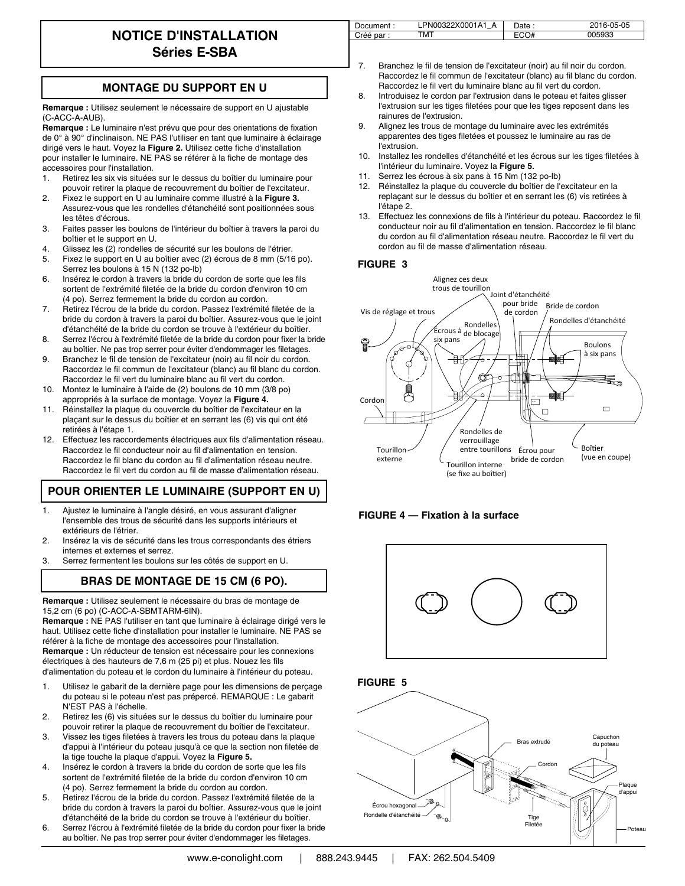## **NOTICE D'INSTALLATION Séries E-SBA**

| Document:  | PN00322X0001A1 | Date : | 2016-05-05 |
|------------|----------------|--------|------------|
| Créé par : | <b>TMT</b>     |        | )05933     |

**MONTAGE DU SUPPORT EN U**

**Remarque :** Utilisez seulement le nécessaire de support en U ajustable (C-ACC-A-AUB).

Remarque : Le luminaire n'est prévu que pour des orientations de fixation de 0° à 90° d'inclinaison. NE PAS l'utiliser en tant que luminaire à éclairage dirigé vers le haut. Voyez la Figure 2. Utilisez cette fiche d'installation pour installer le luminaire. NE PAS se référer à la fiche de montage des accessoires pour l'installation.

- 1. Retirez les six vis situées sur le dessus du boîtier du luminaire pour pouvoir retirer la plaque de recouvrement du boîtier de l'excitateur.
- 2. Fixez le support en U au luminaire comme illustré à la **Figure 3.** Assurez-vous que les rondelles d'étanchéité sont positionnées sous les têtes d'écrous.
- 3. Faites passer les boulons de l'intérieur du boîtier à travers la paroi du boîtier et le support en U.
- 4. Glissez les (2) rondelles de sécurité sur les boulons de l'étrier.
- 5. Fixez le support en U au boîtier avec (2) écrous de 8 mm (5/16 po). Serrez les boulons à 15 N (132 po-lb)
- 6. Insérez le cordon à travers la bride du cordon de sorte que les fils sortent de l'extrémité filetée de la bride du cordon d'environ 10 cm (4 po). Serrez fermement la bride du cordon au cordon.
- 7. Retirez l'écrou de la bride du cordon. Passez l'extrémité filetée de la bride du cordon à travers la paroi du boîtier. Assurez-vous que le joint d'étanchéité de la bride du cordon se trouve à l'extérieur du boîtier.
- 8. Serrez l'écrou à l'extrémité filetée de la bride du cordon pour fixer la bride au boîtier. Ne pas trop serrer pour éviter d'endommager les filetages.
- 9. Branchez le fil de tension de l'excitateur (noir) au fil noir du cordon. Raccordez le fil commun de l'excitateur (blanc) au fil blanc du cordon. Raccordez le fil vert du luminaire blanc au fil vert du cordon.
- 10. Montez le luminaire à l'aide de (2) boulons de 10 mm (3/8 po) appropriés à la surface de montage. Voyez la **Figure 4.**
- 11. Réinstallez la plaque du couvercle du boîtier de l'excitateur en la plaçant sur le dessus du boîtier et en serrant les (6) vis qui ont été retirées à l'étape 1.
- 12. Effectuez les raccordements électriques aux fils d'alimentation réseau. Raccordez le fil conducteur noir au fil d'alimentation en tension. Raccordez le fil blanc du cordon au fil d'alimentation réseau neutre. Raccordez le fil vert du cordon au fil de masse d'alimentation réseau.

### **POUR ORIENTER LE LUMINAIRE (SUPPORT EN U)**

- 1. Ajustez le luminaire à l'angle désiré, en vous assurant d'aligner l'ensemble des trous de sécurité dans les supports intérieurs et extérieurs de l'étrier.
- 2. Insérez la vis de sécurité dans les trous correspondants des étriers internes et externes et serrez.
- 3. Serrez fermentent les boulons sur les côtés de support en U.

### **BRAS DE MONTAGE DE 15 CM (6 PO).**

**Remarque :** Utilisez seulement le nécessaire du bras de montage de 15,2 cm (6 po) (C-ACC-A-SBMTARM-6IN).

**Remarque :** NE PAS l'utiliser en tant que luminaire à éclairage dirigé vers le haut. Utilisez cette fiche d'installation pour installer le luminaire. NE PAS se référer à la fiche de montage des accessoires pour l'installation. **Remarque :** Un réducteur de tension est nécessaire pour les connexions électriques à des hauteurs de 7,6 m (25 pi) et plus. Nouez les fils

d'alimentation du poteau et le cordon du luminaire à l'intérieur du poteau.

- 1. Utilisez le gabarit de la dernière page pour les dimensions de perçage du poteau si le poteau n'est pas prépercé. REMARQUE : Le gabarit N'EST PAS à l'échelle.
- 2. Retirez les (6) vis situées sur le dessus du boîtier du luminaire pour pouvoir retirer la plaque de recouvrement du boîtier de l'excitateur.
- 3. Vissez les tiges filetées à travers les trous du poteau dans la plaque d'appui à l'intérieur du poteau jusqu'à ce que la section non filetée de la tige touche la plaque d'appui. Voyez la **Figure 5.**
- 4. Insérez le cordon à travers la bride du cordon de sorte que les fils sortent de l'extrémité filetée de la bride du cordon d'environ 10 cm (4 po). Serrez fermement la bride du cordon au cordon.
- 5. Retirez l'écrou de la bride du cordon. Passez l'extrémité filetée de la bride du cordon à travers la paroi du boîtier. Assurez-vous que le joint d'étanchéité de la bride du cordon se trouve à l'extérieur du boîtier.
- 6. Serrez l'écrou à l'extrémité filetée de la bride du cordon pour fixer la bride au boîtier. Ne pas trop serrer pour éviter d'endommager les filetages.
- 7. Branchez le fil de tension de l'excitateur (noir) au fil noir du cordon. Raccordez le fil commun de l'excitateur (blanc) au fil blanc du cordon. Raccordez le fil vert du luminaire blanc au fil vert du cordon.
- 8. Introduisez le cordon par l'extrusion dans le poteau et faites glisser l'extrusion sur les tiges filetées pour que les tiges reposent dans les rainures de l'extrusion.
- 9. Alignez les trous de montage du luminaire avec les extrémités apparentes des tiges filetées et poussez le luminaire au ras de l'extrusion.
- 10. Installez les rondelles d'étanchéité et les écrous sur les tiges filetées à l'intérieur du luminaire. Voyez la **Figure 5.**
- 11. Serrez les écrous à six pans à 15 Nm (132 po-lb)
- 12. Réinstallez la plaque du couvercle du boîtier de l'excitateur en la replaçant sur le dessus du boîtier et en serrant les (6) vis retirées à l'étape 2.
- 13. Effectuez les connexions de fils à l'intérieur du poteau. Raccordez le fil conducteur noir au fil d'alimentation en tension. Raccordez le fil blanc du cordon au fil d'alimentation réseau neutre. Raccordez le fil vert du cordon au fil de masse d'alimentation réseau.

#### **FIGURE 3**